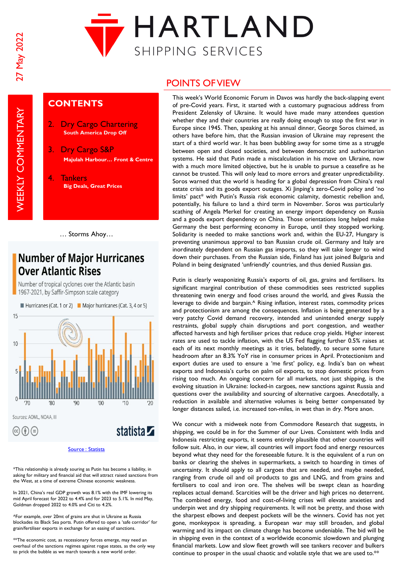**WEEKLY COMMENTARY** 



## **CONTENTS**

- 2. Dry Cargo Chartering **South America Drop Off**
- 3. Dry Cargo S&P **Majulah Harbour… Front & Centre**
- 4. Tankers **Big Deals, Great Prices**

## **Number of Major Hurricanes Over Atlantic Rises**

Number of tropical cyclones over the Atlantic basin 1967-2021, by Saffir-Simpson scale category

Hurricanes (Cat. 1 or 2) Major hurricanes (Cat. 3, 4 or 5) 15  $10$  $'80$  $90'$  $'00$  $'10$ Sources: AOML, NOAA, III statista **Z**  $(c)$   $(f)$   $(\exists)$ 

\*This relationship is already souring as Putin has become a liability, in asking for military and financial aid that will attract raised sanctions from the West, at a time of extreme Chinese economic weakness.

In 2021, China's real GDP growth was 8.1% with the IMF lowering its mid April forecast for 2022 to 4.4% and for 2023 to 5.1%. In mid May, Goldman dropped 2022 to 4.0% and Citi to 4.2%.

^For example, over 20mt of grains are shut in Ukraine as Russia blockades its Black Sea ports. Putin offered to open a 'safe corridor' for grain/fertiliser exports in exchange for an easing of sanctions.

\*\*The economic cost, as recessionary forces emerge, may need an overhaul of the sanctions regimes against rogue states, as the only way to prick the bubble as we march towards a new world order.

## POINTS OF VIEW

This week's World Economic Forum in Davos was hardly the back-slapping event of pre-Covid years. First, it started with a customary pugnacious address from President Zelensky of Ukraine. It would have made many attendees question whether they and their countries are really doing enough to stop the first war in Europe since 1945. Then, speaking at his annual dinner, George Soros claimed, as others have before him, that the Russian invasion of Ukraine may represent the start of a third world war. It has been bubbling away for some time as a struggle between open and closed societies, and between democratic and authoritarian systems. He said that Putin made a miscalculation in his move on Ukraine, now with a much more limited objective, but he is unable to pursue a ceasefire as he cannot be trusted. This will only lead to more errors and greater unpredictability. Soros warned that the world is heading for a global depression from China's real estate crisis and its goods export outages. Xi Jinping's zero-Covid policy and 'no limits' pact\* with Putin's Russia risk economic calamity, domestic rebellion and, potentially, his failure to land a third term in November. Soros was particularly scathing of Angela Merkel for creating an energy import dependency on Russia and a goods export dependency on China. Those orientations long helped make Germany the best performing economy in Europe, until they stopped working. Solidarity is needed to make sanctions work and, within the EU-27, Hungary is preventing unanimous approval to ban Russian crude oil. Germany and Italy are inordinately dependent on Russian gas imports, so they will take longer to wind down their purchases. From the Russian side, Finland has just joined Bulgaria and Poland in being designated 'unfriendly' countries, and thus denied Russian gas.

Putin is clearly weaponizing Russia's exports of oil, gas, grains and fertilisers. Its significant marginal contribution of these commodities sees restricted supplies threatening twin energy and food crises around the world, and gives Russia the leverage to divide and bargain.<sup>^</sup> Rising inflation, interest rates, commodity prices and protectionism are among the consequences. Inflation is being generated by a very patchy Covid demand recovery, intended and unintended energy supply restraints, global supply chain disruptions and port congestion, and weather affected harvests and high fertiliser prices that reduce crop yields. Higher interest rates are used to tackle inflation, with the US Fed flagging further 0.5% raises at each of its next monthly meetings as it tries, belatedly, to secure some future headroom after an 8.3% YoY rise in consumer prices in April. Protectionism and export duties are used to ensure a 'me first' policy, e.g. India's ban on wheat exports and Indonesia's curbs on palm oil exports, to stop domestic prices from rising too much. An ongoing concern for all markets, not just shipping, is the evolving situation in Ukraine: locked-in cargoes, new sanctions against Russia and questions over the availability and sourcing of alternative cargoes. Anecdotally, a reduction in available and alternative volumes is being better compensated by longer distances sailed, i.e. increased ton-miles, in wet than in dry. More anon.

We concur with a midweek note from Commodore Research that suggests, in shipping, we could be in for the Summer of our Lives. Consistent with India and Indonesia restricting exports, it seems entirely plausible that other countries will follow suit. Also, in our view, all countries will import food and energy resources beyond what they need for the foreseeable future. It is the equivalent of a run on banks or clearing the shelves in supermarkets, a switch to hoarding in times of uncertainty. It should apply to all cargoes that are needed, and maybe needed, ranging from crude oil and oil products to gas and LNG, and from grains and fertilisers to coal and iron ore. The shelves will be swept clean as hoarding replaces actual demand. Scarcities will be the driver and high prices no deterrent. The combined energy, food and cost-of-living crises will elevate anxieties and underpin wet and dry shipping requirements. It will not be pretty, and those with the sharpest elbows and deepest pockets will be the winners. Covid has not yet gone, monkeypox is spreading, a European war may still broaden, and global warming and its impact on climate change has become undeniable. The bid will be in shipping even in the context of a worldwide economic slowdown and plunging financial markets. Low and slow fleet growth will see tankers recover and bulkers continue to prosper in the usual chaotic and volatile style that we are used to.\*\*

<sup>…</sup> Storms Ahoy…

[Source : Statista](https://www.statista.com/)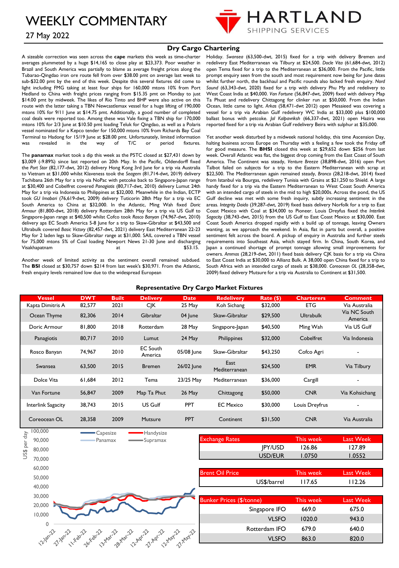

### 27 May 2022

#### **Dry Cargo Chartering**

A sizeable correction was seen across the **cape** markets this week as time-charter averages plummeted by a huge \$14,165 to close play at \$23,373. Poor weather in Brazil and South America was partially to blame as average freight prices along the Tubarao-Qingdao iron ore route fell from over \$38.00 pmt on average last week to sub-\$32.00 pmt by the end of this week. Despite this several fixtures did come to light including FMG taking at least four ships for 160,000 mtons 10% from Port Hedland to China with freight prices ranging from \$15.35 pmt on Monday to just \$14.00 pmt by midweek. The likes of Rio Tinto and BHP were also active on this route with the latter taking a TBN Newcastlemax vessel for a huge lifting of 190,000 mtons 10% for 9/11 June at \$14.75 pmt. Additionally, a good number of completed coal deals were reported too. Among these was Vale fixing a TBN ship for 170,000 mtons 10% for 2/3 June at \$10.50 pmt loading Teluk for Qingdao, as well as a Polaris vessel nominated for a Kepco tender for 150,000 mtons 10% from Richards Bay Coal Terminal to Hadong for 15/19 June at \$28.00 pmt. Unfortunately, limited information<br>was revealed in the way of T/C or period fixtures. was revealed in the way of T/C or period fixtures.

The **panamax** market took a dip this week as the P5TC closed at \$27,431 down by \$3,009 (-9.89%) since last reported on 20th May. In the Pacific, Oldendorff fixed the *Port Star* (82,177-dwt, 2012) delivery Hong Kong 3rd June for a trip via Australia to Vietnam at \$31,000 whilst Klaveness took the *Seagem* (81,714-dwt, 2019) delivery Tachibana 26th May for a trip via NoPac with petcoke back to Singapore-Japan range at \$30,400 and Cobelfret covered *Panagiotis* (80,717-dwt, 2010) delivery Lumut 24th May for a trip via Indonesia to Philippines at \$32,000. Meanwhile in the Indian, ECTP took *GU Imabari* (76,619-dwt, 2009) delivery Tuticorin 28th May for a trip via EC South America to China at \$32,000. In the Atlantic, Ming Wah fixed *Doric Armour* (81,800-dwt, 2018) delivery Rotterdam 28th May for a trip via US Gulf to Singapore-Japan range at \$40,500 whilst Cofco took *Rosco Banyan* (74,967-dwt, 2010) delivery aps EC South America 5-8 June for a trip to Skaw-Gibraltar at \$43,500 and Ultrabulk covered *Basic Victory* (82,457-dwt, 2021) delivery East Mediterranean 22-23 May for 2 laden legs to Skaw-Gibraltar range at \$31,000. SAIL covered a TBN vessel for 75,000 mtons 5% of Coal loading Newport News 21-30 June and discharging Visakhapatnam at \$53.15.

Another week of limited activity as the sentiment overall remained subdued. The **BSI** closed at \$30,757 down \$214 from last week's \$30,971. From the Atlantic, fresh enquiry levels remained low due to the widespread European

Holiday. *Swansea* (63,500-dwt, 2015) fixed for a trip with delivery Bremen and redelivery East Mediterranean via Tilbury at \$24,500. *Docle Vita* (61,684-dwt, 2012) open Tema fixed for a trip to the Mediterranean at \$36,000. From the Pacific, little prompt enquiry seen from the south and most requirement now being for June dates whilst further north, the backhaul and Pacific rounds also lacked fresh enquiry. *Nord Sound* (63,343-dwt, 2020) fixed for a trip with delivery Phu My and redelivery to West Coast India at \$40,000. *Van Fortune* (56,847-dwt, 2009) fixed with delivery Map Ta Phuat and redelivery Chittagong for clinker run at \$50,000. From the Indian Ocean, little came to light. *Arkas* (58,471-dwt 2012) open Mesaieed was covering a vessel for a trip via Arabian Gulf redelivery WC India at \$33,000 plus \$100,000 ballast bonus with petcoke. *Jal Kalpavriksh* (66,337-dwt, 2021) open Hazira was reported fixed for a trip via Arabian Gulf redelivery Beira with sulphur at \$35,000.

Yet another week disturbed by a midweek national holiday, this time Ascension Day, halting business across Europe on Thursday with a feeling a few took the Friday off for good measure. The **BHSI** closed this week at \$29,652 down \$256 from last week. Overall Atlantic was flat, the biggest drop coming from the East Coast of South America. The Continent was steady, *Venture Breeze* (38,898-dwt, 2016) open Port Talbot failed on subjects for a trip to the Eastern Mediterranean with scrap at \$22,500. The Mediterranean again remained steady, *Bronco* (28,218-dwt, 2014) fixed from Istanbul via Bourgas, redelivery Tunisia with Grains at \$21,250 to Shield. A large handy fixed for a trip via the Eastern Mediterranean to West Coast South America with an intended cargo of steels in the mid to high \$20,000s. Across the pond, the US Gulf decline was met with some fresh inquiry, subtly increasing sentiment in the areas. *Integrity Daido* (39,287-dwt, 2019) fixed basis delivery Norfolk for a trip to East Coast Mexico with Coal at \$34,000 to Pioneer. Louis Dreyfus fixed the *Interlink Sagacity* (38,743-dwt, 2015) from the US Gulf to East Coast Mexico at \$30,000. East Coast South America dropped rapidly with a build up of tonnage, leaving Owners wanting, as we approach the weekend. In Asia, flat in parts but overall, a positive sentiment felt across the board. A pickup of enquiry in Australia and further steels requirements into Southeast Asia, which stayed firm. In China, South Korea, and Japan a continued shortage of prompt tonnage allowing small improvements for owners. *Ammos* (28,219-dwt, 2011) fixed basis delivery CJK basis for a trip via China to East Coast India at \$30,000 to Allianz Bulk. A 38,000 open China fixed for a trip to South Africa with an intended cargo of steels at \$38,000. *Coreocean OL* (28,358-dwt, 2009) fixed delivery Mutsure for a trip via Australia to Continent at \$31,500.

| <b>Vessel</b>                                                                  | <b>DWT</b> | <b>Built</b> | <b>Delivery</b>                                                     | <b>Date</b> | <b>Redelivery</b>                                                                  | Rate()                                   | <b>Charterers</b>                                    | <b>Comment</b>                                                     |
|--------------------------------------------------------------------------------|------------|--------------|---------------------------------------------------------------------|-------------|------------------------------------------------------------------------------------|------------------------------------------|------------------------------------------------------|--------------------------------------------------------------------|
| Kapta Dimitris A                                                               | 82,577     | 2021         | <b>CJK</b>                                                          | 25 May      | Koh Sichang                                                                        | \$32,000                                 | <b>ETG</b>                                           | Via Australia                                                      |
| Ocean Thyme                                                                    | 82,306     | 2014         | Gibraltar                                                           | 04 June     | Skaw-Gibraltar                                                                     | \$29,500                                 | <b>Ultrabulk</b>                                     | Via NC South<br>America                                            |
| Doric Armour                                                                   | 81,800     | 2018         | Rotterdam                                                           | 28 May      | Singapore-Japan                                                                    | \$40,500                                 | Ming Wah                                             | Via US Gulf                                                        |
| Panagiotis                                                                     | 80,717     | 2010         | Lumut                                                               | 24 May      | Philippines                                                                        | \$32,000                                 | Cobelfret                                            | Via Indonesia                                                      |
| Rosco Banyan                                                                   | 74,967     | 2010         | <b>EC South</b><br>America                                          | 05/08 June  | Skaw-Gibraltar                                                                     | \$43,250                                 | Cofco Agri                                           |                                                                    |
| Swansea                                                                        | 63,500     | 2015         | <b>Bremen</b>                                                       | 26/02 June  | East<br>Mediterranean                                                              | \$24,500                                 | <b>EMR</b>                                           | Via Tilbury                                                        |
| Dolce Vita                                                                     | 61,684     | 2012         | Tema                                                                | 23/25 May   | Mediterranean                                                                      | \$36,000                                 | Cargill                                              |                                                                    |
| Van Fortune                                                                    | 56,847     | 2009         | Map Ta Phut                                                         | 26 May      | Chittagong                                                                         | \$50,000                                 | <b>CNR</b>                                           | Via Kohsichang                                                     |
| <b>Interlink Sagacity</b>                                                      | 38,743     | 2015         | US Gulf                                                             | PPT         | <b>EC Mexico</b>                                                                   | \$30,000                                 | Louis Dreyfrus                                       |                                                                    |
| Coreocean OL                                                                   | 28,358     | 2009         | Mutsure                                                             | PPT         | Continent                                                                          | \$31,500                                 | <b>CNR</b>                                           | Via Australia                                                      |
| 100,000                                                                        |            | Capesize     | Handysize                                                           |             |                                                                                    |                                          |                                                      |                                                                    |
| 90,000                                                                         |            | Panamax      | Supramax                                                            |             |                                                                                    |                                          |                                                      |                                                                    |
| 80,000                                                                         |            |              |                                                                     |             |                                                                                    |                                          |                                                      |                                                                    |
| 70,000                                                                         |            |              |                                                                     |             |                                                                                    |                                          |                                                      |                                                                    |
| 60,000                                                                         |            |              |                                                                     |             |                                                                                    |                                          |                                                      |                                                                    |
|                                                                                |            |              |                                                                     |             |                                                                                    |                                          |                                                      |                                                                    |
|                                                                                |            |              |                                                                     |             |                                                                                    |                                          |                                                      |                                                                    |
|                                                                                |            |              |                                                                     |             |                                                                                    |                                          |                                                      |                                                                    |
|                                                                                |            |              |                                                                     |             |                                                                                    |                                          | This week                                            | <b>Last Week</b>                                                   |
|                                                                                |            |              |                                                                     |             |                                                                                    | Singapore IFO                            | 669.0                                                | 675.0                                                              |
|                                                                                |            |              |                                                                     |             |                                                                                    | <b>VLSFO</b>                             | 1020.0                                               | 943.0                                                              |
|                                                                                |            |              |                                                                     |             |                                                                                    | Rotterdam IFO                            | 679.0                                                | 640.0                                                              |
|                                                                                |            |              |                                                                     |             |                                                                                    | <b>VLSFO</b>                             | 863.0                                                | 820.0                                                              |
| US\$ per day<br>50,000<br>40,000<br>30,000<br>20,000<br>10,000<br>$\mathbf{0}$ |            |              | 1.18h72 1.18h72 x 8072 14x872 14x72 12x872 11.18qr 21.28x872 12x872 |             | <b>Exchange Rates</b><br><b>Brent Oil Price</b><br><b>Bunker Prices (\$/tonne)</b> | <b>IPY/USD</b><br>USD/EUR<br>US\$/barrel | This week<br>126.86<br>1.0750<br>This week<br>117.65 | <b>Last Week</b><br>127.89<br>1.0552<br><b>Last Week</b><br>112.26 |

**Representative Dry Cargo Market Fixtures**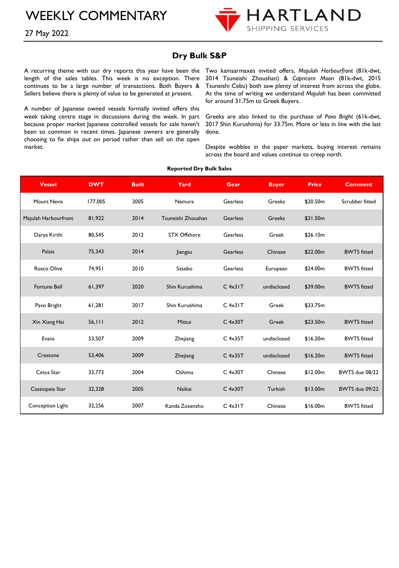

### 27 May 2022

## **Dry Bulk S&P**

length of the sales tables. This week is no exception. There continues to be a large number of transactions. Both Buyers & Sellers believe there is plenty of value to be generated at present.

A number of Japanese owned vessels formally invited offers this week taking centre stage in discussions during the week. In part because proper market Japanese controlled vessels for sale haven't been so common in recent times. Japanese owners are generally choosing to fix ships out on period rather than sell on the open market.

A recurring theme with our dry reports this year have been the Two kamsarmaxes invited offers, *Majulah Harbourfront* (81k-dwt, 2014 Tsuneishi Zhoushan) & *Capricorn Moon* (81k-dwt, 2015 Tsuneishi Cebu) both saw plenty of interest from across the globe. At the time of writing we understand *Majulah* has been committed for around 31.75m to Greek Buyers.

> Greeks are also linked to the purchase of *Pavo Bright* (61k-dwt, 2017 Shin Kurushima) for 33.75m. More or less in line with the last done.

> Despite wobbles in the paper markets, buying interest remains across the board and values continue to creep north.

| <b>Vessel</b>        | <b>DWT</b> | <b>Built</b> | Yard               | Gear            | <b>Buyer</b> | <b>Price</b> | <b>Comment</b>        |
|----------------------|------------|--------------|--------------------|-----------------|--------------|--------------|-----------------------|
| Mount Nevis          | 177,005    | 2005         | Namura             | Gearless        | Greeks       | \$20.50m     | Scrubber fitted       |
| Majulah Harbourfront | 81,922     | 2014         | Tsuneishi Zhoushan | <b>Gearless</b> | Greeks       | \$31.50m     |                       |
| Darya Kirthi         | 80,545     | 2012         | STX Offshore       | Gearless        | Greek        | \$26.10m     |                       |
| Palais               | 75,343     | 2014         | Jiangsu            | <b>Gearless</b> | Chinese      | \$22.00m     | <b>BWTS</b> fitted    |
| <b>Rosco Olive</b>   | 74,951     | 2010         | Sasebo             | Gearless        | European     | \$24.00m     | <b>BWTS</b> fitted    |
| <b>Fortune Bell</b>  | 61,397     | 2020         | Shin Kurushima     | $C$ 4x31 $T$    | undisclosed  | \$39.00m     | <b>BWTS</b> fitted    |
| Pavo Bright          | 61,281     | 2017         | Shin Kurushima     | $C$ 4x31 $T$    | Greek        | \$33.75m     |                       |
| Xin Xiang Hai        | 56,111     | 2012         | Mitsui             | $C$ 4x30 $T$    | Greek        | \$23.50m     | <b>BWTS</b> fitted    |
| Evans                | 53,507     | 2009         | Zhejiang           | $C$ 4x35T       | undisclosed  | \$16.20m     | <b>BWTS</b> fitted    |
| Crestone             | 53,406     | 2009         | Zhejiang           | $C$ 4x35T       | undisclosed  | \$16.20m     | <b>BWTS</b> fitted    |
| Cetus Star           | 33,773     | 2004         | Oshima             | $C$ 4x30T       | Chinese      | \$12.00m     | <b>BWTS</b> due 08/22 |
| Cassiopeia Star      | 32,328     | 2005         | Naikai             | $C$ 4x30T       | Turkish      | \$13.00m     | BWTS due 09/22        |
| Conception Light     | 32.256     | 2007         | Kanda Zosensho     | $C$ 4x31 $T$    | Chinese      | \$16.00m     | <b>BWTS</b> fitted    |

#### **Reported Dry Bulk Sales**